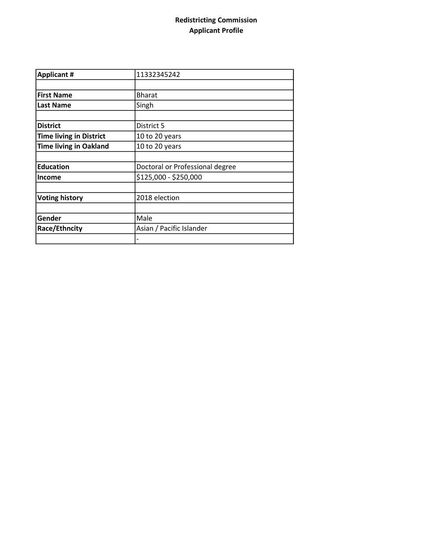## Redistricting Commission Applicant Profile

| <b>Applicant #</b>             | 11332345242                     |  |
|--------------------------------|---------------------------------|--|
|                                |                                 |  |
| <b>First Name</b>              | <b>Bharat</b>                   |  |
| <b>Last Name</b>               | Singh                           |  |
|                                |                                 |  |
| <b>District</b>                | District 5                      |  |
| <b>Time living in District</b> | 10 to 20 years                  |  |
| <b>Time living in Oakland</b>  | 10 to 20 years                  |  |
|                                |                                 |  |
| <b>Education</b>               | Doctoral or Professional degree |  |
| <b>Income</b>                  | \$125,000 - \$250,000           |  |
|                                |                                 |  |
| <b>Voting history</b>          | 2018 election                   |  |
|                                |                                 |  |
| Gender                         | Male                            |  |
| Race/Ethncity                  | Asian / Pacific Islander        |  |
|                                |                                 |  |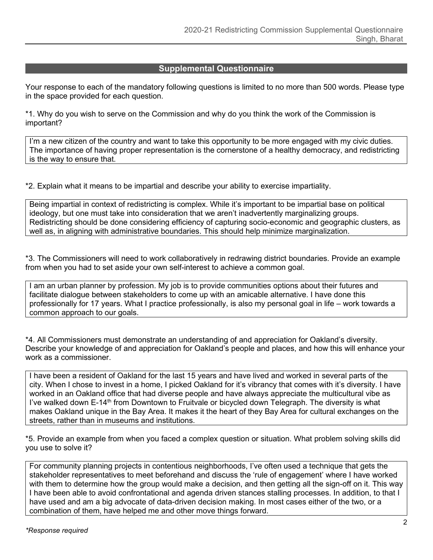## **Supplemental Questionnaire**

Your response to each of the mandatory following questions is limited to no more than 500 words. Please type in the space provided for each question.

\*1. Why do you wish to serve on the Commission and why do you think the work of the Commission is important?

I'm a new citizen of the country and want to take this opportunity to be more engaged with my civic duties. The importance of having proper representation is the cornerstone of a healthy democracy, and redistricting is the way to ensure that.

\*2. Explain what it means to be impartial and describe your ability to exercise impartiality.

Being impartial in context of redistricting is complex. While it's important to be impartial base on political ideology, but one must take into consideration that we aren't inadvertently marginalizing groups. Redistricting should be done considering efficiency of capturing socio-economic and geographic clusters, as well as, in aligning with administrative boundaries. This should help minimize marginalization.

\*3. The Commissioners will need to work collaboratively in redrawing district boundaries. Provide an example from when you had to set aside your own self-interest to achieve a common goal.

I am an urban planner by profession. My job is to provide communities options about their futures and facilitate dialogue between stakeholders to come up with an amicable alternative. I have done this professionally for 17 years. What I practice professionally, is also my personal goal in life – work towards a common approach to our goals.

\*4. All Commissioners must demonstrate an understanding of and appreciation for Oakland's diversity. Describe your knowledge of and appreciation for Oakland's people and places, and how this will enhance your work as a commissioner.

I have been a resident of Oakland for the last 15 years and have lived and worked in several parts of the city. When I chose to invest in a home, I picked Oakland for it's vibrancy that comes with it's diversity. I have worked in an Oakland office that had diverse people and have always appreciate the multicultural vibe as I've walked down E-14<sup>th</sup> from Downtown to Fruitvale or bicycled down Telegraph. The diversity is what makes Oakland unique in the Bay Area. It makes it the heart of they Bay Area for cultural exchanges on the streets, rather than in museums and institutions.

\*5. Provide an example from when you faced a complex question or situation. What problem solving skills did you use to solve it?

For community planning projects in contentious neighborhoods, I've often used a technique that gets the stakeholder representatives to meet beforehand and discuss the 'rule of engagement' where I have worked with them to determine how the group would make a decision, and then getting all the sign-off on it. This way I have been able to avoid confrontational and agenda driven stances stalling processes. In addition, to that I have used and am a big advocate of data-driven decision making. In most cases either of the two, or a combination of them, have helped me and other move things forward.